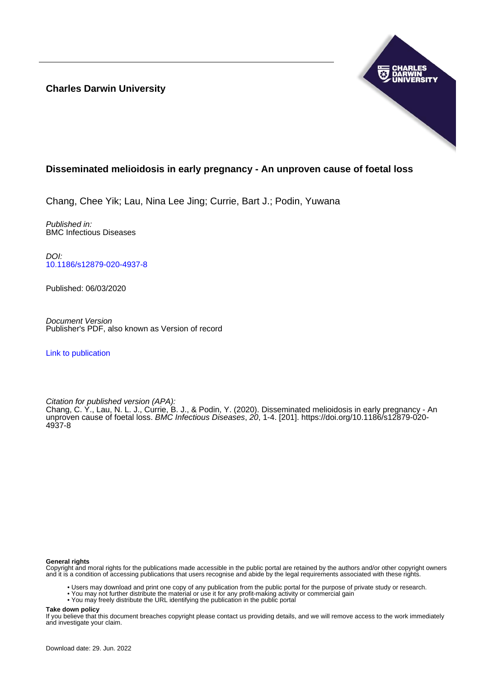**Charles Darwin University**



# **Disseminated melioidosis in early pregnancy - An unproven cause of foetal loss**

Chang, Chee Yik; Lau, Nina Lee Jing; Currie, Bart J.; Podin, Yuwana

Published in: BMC Infectious Diseases

DOI: [10.1186/s12879-020-4937-8](https://doi.org/10.1186/s12879-020-4937-8)

Published: 06/03/2020

Document Version Publisher's PDF, also known as Version of record

[Link to publication](https://researchers.cdu.edu.au/en/publications/05f94895-1592-4bce-83f6-072d380066f0)

Citation for published version (APA):

Chang, C. Y., Lau, N. L. J., Currie, B. J., & Podin, Y. (2020). Disseminated melioidosis in early pregnancy - An unproven cause of foetal loss. BMC Infectious Diseases, 20, 1-4. [201]. [https://doi.org/10.1186/s12879-020-](https://doi.org/10.1186/s12879-020-4937-8) [4937-8](https://doi.org/10.1186/s12879-020-4937-8)

### **General rights**

Copyright and moral rights for the publications made accessible in the public portal are retained by the authors and/or other copyright owners and it is a condition of accessing publications that users recognise and abide by the legal requirements associated with these rights.

- Users may download and print one copy of any publication from the public portal for the purpose of private study or research.
- You may not further distribute the material or use it for any profit-making activity or commercial gain
- You may freely distribute the URL identifying the publication in the public portal

**Take down policy**

If you believe that this document breaches copyright please contact us providing details, and we will remove access to the work immediately and investigate your claim.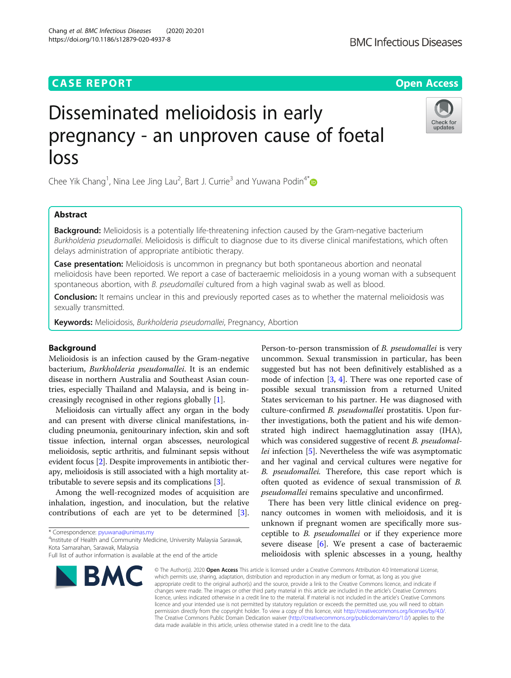# **CASE REPORT CASE REPORT CASE REPORT**

# Disseminated melioidosis in early pregnancy - an unproven cause of foetal loss

Chee Yik Chang<sup>1</sup>, Nina Lee Jing Lau<sup>2</sup>, Bart J. Currie<sup>3</sup> and Yuwana Podin<sup>4[\\*](http://orcid.org/0000-0002-4984-2394)</sup>

# Abstract

**Background:** Melioidosis is a potentially life-threatening infection caused by the Gram-negative bacterium Burkholderia pseudomallei. Melioidosis is difficult to diagnose due to its diverse clinical manifestations, which often delays administration of appropriate antibiotic therapy.

Case presentation: Melioidosis is uncommon in pregnancy but both spontaneous abortion and neonatal melioidosis have been reported. We report a case of bacteraemic melioidosis in a young woman with a subsequent spontaneous abortion, with B. pseudomallei cultured from a high vaginal swab as well as blood.

**Conclusion:** It remains unclear in this and previously reported cases as to whether the maternal melioidosis was sexually transmitted.

Keywords: Melioidosis, Burkholderia pseudomallei, Pregnancy, Abortion

# Background

Melioidosis is an infection caused by the Gram-negative bacterium, Burkholderia pseudomallei. It is an endemic disease in northern Australia and Southeast Asian countries, especially Thailand and Malaysia, and is being increasingly recognised in other regions globally [\[1](#page-4-0)].

Melioidosis can virtually affect any organ in the body and can present with diverse clinical manifestations, including pneumonia, genitourinary infection, skin and soft tissue infection, internal organ abscesses, neurological melioidosis, septic arthritis, and fulminant sepsis without evident focus [\[2\]](#page-4-0). Despite improvements in antibiotic therapy, melioidosis is still associated with a high mortality attributable to severe sepsis and its complications [\[3](#page-4-0)].

Among the well-recognized modes of acquisition are inhalation, ingestion, and inoculation, but the relative contributions of each are yet to be determined [\[3](#page-4-0)].

<sup>4</sup>Institute of Health and Community Medicine, University Malaysia Sarawak, Kota Samarahan, Sarawak, Malaysia

uncommon. Sexual transmission in particular, has been suggested but has not been definitively established as a mode of infection  $[3, 4]$  $[3, 4]$  $[3, 4]$ . There was one reported case of possible sexual transmission from a returned United States serviceman to his partner. He was diagnosed with culture-confirmed B. pseudomallei prostatitis. Upon further investigations, both the patient and his wife demonstrated high indirect haemagglutination assay (IHA), which was considered suggestive of recent B. *pseudomal*lei infection [[5](#page-4-0)]. Nevertheless the wife was asymptomatic and her vaginal and cervical cultures were negative for B. pseudomallei. Therefore, this case report which is often quoted as evidence of sexual transmission of B. pseudomallei remains speculative and unconfirmed.

Person-to-person transmission of B. pseudomallei is very

There has been very little clinical evidence on pregnancy outcomes in women with melioidosis, and it is unknown if pregnant women are specifically more susceptible to B. pseudomallei or if they experience more severe disease [[6](#page-4-0)]. We present a case of bacteraemic melioidosis with splenic abscesses in a young, healthy

© The Author(s), 2020 **Open Access** This article is licensed under a Creative Commons Attribution 4.0 International License, which permits use, sharing, adaptation, distribution and reproduction in any medium or format, as long as you give appropriate credit to the original author(s) and the source, provide a link to the Creative Commons licence, and indicate if changes were made. The images or other third party material in this article are included in the article's Creative Commons licence, unless indicated otherwise in a credit line to the material. If material is not included in the article's Creative Commons licence and your intended use is not permitted by statutory regulation or exceeds the permitted use, you will need to obtain permission directly from the copyright holder. To view a copy of this licence, visit [http://creativecommons.org/licenses/by/4.0/.](http://creativecommons.org/licenses/by/4.0/) The Creative Commons Public Domain Dedication waiver [\(http://creativecommons.org/publicdomain/zero/1.0/](http://creativecommons.org/publicdomain/zero/1.0/)) applies to the data made available in this article, unless otherwise stated in a credit line to the data.

\* Correspondence: [pyuwana@unimas.my](mailto:pyuwana@unimas.my) <sup>4</sup>

Chang et al. BMC Infectious Diseases (2020) 20:201

https://doi.org/10.1186/s12879-020-4937-8







Check for updates

Full list of author information is available at the end of the article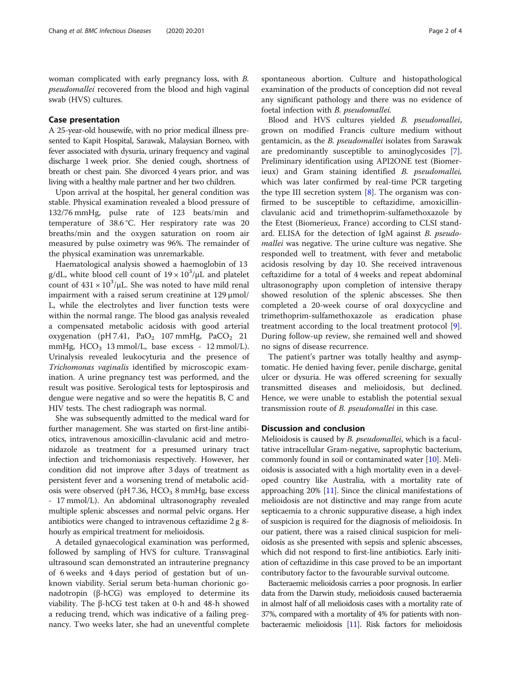woman complicated with early pregnancy loss, with B. pseudomallei recovered from the blood and high vaginal swab (HVS) cultures.

## Case presentation

A 25-year-old housewife, with no prior medical illness presented to Kapit Hospital, Sarawak, Malaysian Borneo, with fever associated with dysuria, urinary frequency and vaginal discharge 1 week prior. She denied cough, shortness of breath or chest pain. She divorced 4 years prior, and was living with a healthy male partner and her two children.

Upon arrival at the hospital, her general condition was stable. Physical examination revealed a blood pressure of 132/76 mmHg, pulse rate of 123 beats/min and temperature of 38.6 °C. Her respiratory rate was 20 breaths/min and the oxygen saturation on room air measured by pulse oximetry was 96%. The remainder of the physical examination was unremarkable.

Haematological analysis showed a haemoglobin of 13 g/dL, white blood cell count of  $19 \times 10^3 / \mu$ L and platelet count of  $431 \times 10^3/\mu$ L. She was noted to have mild renal impairment with a raised serum creatinine at 129 μmol/ L, while the electrolytes and liver function tests were within the normal range. The blood gas analysis revealed a compensated metabolic acidosis with good arterial oxygenation (pH 7.41,  $PaO<sub>2</sub>$  107 mmHg,  $PaCO<sub>2</sub>$  21 mmHg,  $HCO<sub>3</sub>$  13 mmol/L, base excess - 12 mmol/L). Urinalysis revealed leukocyturia and the presence of Trichomonas vaginalis identified by microscopic examination. A urine pregnancy test was performed, and the result was positive. Serological tests for leptospirosis and dengue were negative and so were the hepatitis B, C and HIV tests. The chest radiograph was normal.

She was subsequently admitted to the medical ward for further management. She was started on first-line antibiotics, intravenous amoxicillin-clavulanic acid and metronidazole as treatment for a presumed urinary tract infection and trichomoniasis respectively. However, her condition did not improve after 3 days of treatment as persistent fever and a worsening trend of metabolic acidosis were observed (pH 7.36, HCO $_{\rm 3}$  8 mmHg, base excess - 17 mmol/L). An abdominal ultrasonography revealed multiple splenic abscesses and normal pelvic organs. Her antibiotics were changed to intravenous ceftazidime 2 g 8 hourly as empirical treatment for melioidosis.

A detailed gynaecological examination was performed, followed by sampling of HVS for culture. Transvaginal ultrasound scan demonstrated an intrauterine pregnancy of 6 weeks and 4 days period of gestation but of unknown viability. Serial serum beta-human chorionic gonadotropin (β-hCG) was employed to determine its viability. The β-hCG test taken at 0-h and 48-h showed a reducing trend, which was indicative of a failing pregnancy. Two weeks later, she had an uneventful complete

spontaneous abortion. Culture and histopathological examination of the products of conception did not reveal any significant pathology and there was no evidence of foetal infection with B. pseudomallei.

Blood and HVS cultures yielded B. pseudomallei, grown on modified Francis culture medium without gentamicin, as the B. pseudomallei isolates from Sarawak are predominantly susceptible to aminoglycosides [\[7](#page-4-0)]. Preliminary identification using API2ONE test (Biomerieux) and Gram staining identified B. pseudomallei, which was later confirmed by real-time PCR targeting the type III secretion system  $[8]$  $[8]$ . The organism was confirmed to be susceptible to ceftazidime, amoxicillinclavulanic acid and trimethoprim-sulfamethoxazole by the Etest (Biomerieux, France) according to CLSI standard. ELISA for the detection of IgM against B. pseudomallei was negative. The urine culture was negative. She responded well to treatment, with fever and metabolic acidosis resolving by day 10. She received intravenous ceftazidime for a total of 4 weeks and repeat abdominal ultrasonography upon completion of intensive therapy showed resolution of the splenic abscesses. She then completed a 20-week course of oral doxycycline and trimethoprim-sulfamethoxazole as eradication phase treatment according to the local treatment protocol [\[9](#page-4-0)]. During follow-up review, she remained well and showed no signs of disease recurrence.

The patient's partner was totally healthy and asymptomatic. He denied having fever, penile discharge, genital ulcer or dysuria. He was offered screening for sexually transmitted diseases and melioidosis, but declined. Hence, we were unable to establish the potential sexual transmission route of B. pseudomallei in this case.

#### Discussion and conclusion

Melioidosis is caused by B. pseudomallei, which is a facultative intracellular Gram-negative, saprophytic bacterium, commonly found in soil or contaminated water [\[10\]](#page-4-0). Melioidosis is associated with a high mortality even in a developed country like Australia, with a mortality rate of approaching 20% [\[11\]](#page-4-0). Since the clinical manifestations of melioidosis are not distinctive and may range from acute septicaemia to a chronic suppurative disease, a high index of suspicion is required for the diagnosis of melioidosis. In our patient, there was a raised clinical suspicion for melioidosis as she presented with sepsis and splenic abscesses, which did not respond to first-line antibiotics. Early initiation of ceftazidime in this case proved to be an important contributory factor to the favourable survival outcome.

Bacteraemic melioidosis carries a poor prognosis. In earlier data from the Darwin study, melioidosis caused bacteraemia in almost half of all melioidosis cases with a mortality rate of 37%, compared with a mortality of 4% for patients with nonbacteraemic melioidosis [\[11](#page-4-0)]. Risk factors for melioidosis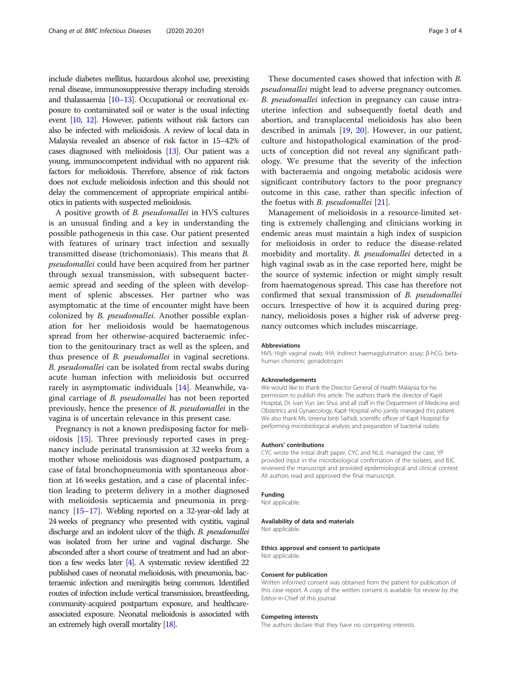include diabetes mellitus, hazardous alcohol use, preexisting renal disease, immunosuppressive therapy including steroids and thalassaemia [[10](#page-4-0)–[13\]](#page-4-0). Occupational or recreational exposure to contaminated soil or water is the usual infecting event [[10,](#page-4-0) [12\]](#page-4-0). However, patients without risk factors can also be infected with melioidosis. A review of local data in Malaysia revealed an absence of risk factor in 15–42% of cases diagnosed with melioidosis [\[13](#page-4-0)]. Our patient was a young, immunocompetent individual with no apparent risk factors for melioidosis. Therefore, absence of risk factors does not exclude melioidosis infection and this should not delay the commencement of appropriate empirical antibiotics in patients with suspected melioidosis.

A positive growth of B. pseudomallei in HVS cultures is an unusual finding and a key in understanding the possible pathogenesis in this case. Our patient presented with features of urinary tract infection and sexually transmitted disease (trichomoniasis). This means that B. pseudomallei could have been acquired from her partner through sexual transmission, with subsequent bacteraemic spread and seeding of the spleen with development of splenic abscesses. Her partner who was asymptomatic at the time of encounter might have been colonized by B. pseudomallei. Another possible explanation for her melioidosis would be haematogenous spread from her otherwise-acquired bacteraemic infection to the genitourinary tract as well as the spleen, and thus presence of B. pseudomallei in vaginal secretions. B. pseudomallei can be isolated from rectal swabs during acute human infection with melioidosis but occurred rarely in asymptomatic individuals [[14\]](#page-4-0). Meanwhile, vaginal carriage of B. pseudomallei has not been reported previously, hence the presence of B. pseudomallei in the vagina is of uncertain relevance in this present case.

Pregnancy is not a known predisposing factor for melioidosis [\[15](#page-4-0)]. Three previously reported cases in pregnancy include perinatal transmission at 32 weeks from a mother whose melioidosis was diagnosed postpartum, a case of fatal bronchopneumonia with spontaneous abortion at 16 weeks gestation, and a case of placental infection leading to preterm delivery in a mother diagnosed with melioidosis septicaemia and pneumonia in pregnancy [\[15](#page-4-0)–[17\]](#page-4-0). Webling reported on a 32-year-old lady at 24 weeks of pregnancy who presented with cystitis, vaginal discharge and an indolent ulcer of the thigh. B. pseudomallei was isolated from her urine and vaginal discharge. She absconded after a short course of treatment and had an abortion a few weeks later  $[4]$ . A systematic review identified 22 published cases of neonatal melioidosis, with pneumonia, bacteraemic infection and meningitis being common. Identified routes of infection include vertical transmission, breastfeeding, community-acquired postpartum exposure, and healthcareassociated exposure. Neonatal melioidosis is associated with an extremely high overall mortality [\[18\]](#page-4-0).

These documented cases showed that infection with B. pseudomallei might lead to adverse pregnancy outcomes. B. pseudomallei infection in pregnancy can cause intrauterine infection and subsequently foetal death and abortion, and transplacental melioidosis has also been described in animals [[19,](#page-4-0) [20\]](#page-4-0). However, in our patient, culture and histopathological examination of the products of conception did not reveal any significant pathology. We presume that the severity of the infection with bacteraemia and ongoing metabolic acidosis were significant contributory factors to the poor pregnancy outcome in this case, rather than specific infection of the foetus with *B. pseudomallei*  $[21]$  $[21]$ .

Management of melioidosis in a resource-limited setting is extremely challenging and clinicians working in endemic areas must maintain a high index of suspicion for melioidosis in order to reduce the disease-related morbidity and mortality. B. pseudomallei detected in a high vaginal swab as in the case reported here, might be the source of systemic infection or might simply result from haematogenous spread. This case has therefore not confirmed that sexual transmission of B. pseudomallei occurs. Irrespective of how it is acquired during pregnancy, melioidosis poses a higher risk of adverse pregnancy outcomes which includes miscarriage.

#### Abbreviations

HVS: High vaginal swab; IHA: Indirect haemagglutination assay; β-hCG: betahuman chorionic gonadotropin

#### Acknowledgements

We would like to thank the Director General of Health Malaysia for his permission to publish this article. The authors thank the director of Kapit Hospital, Dr. Ivan Vun Jan Shui, and all staff in the Department of Medicine and Obstetrics and Gynaecology, Kapit Hospital who jointly managed this patient. We also thank Ms. Izreena binti Saihidi, scientific officer of Kapit Hospital for performing microbiological analysis and preparation of bacterial isolate.

#### Authors' contributions

CYC wrote the initial draft paper, CYC and NLJL managed the case, YP provided input in the microbiological confirmation of the isolates, and BJC reviewed the manuscript and provided epidemiological and clinical context. All authors read and approved the final manuscript.

#### Funding

Not applicable.

#### Availability of data and materials

Not applicable.

## Ethics approval and consent to participate

Not applicable.

#### Consent for publication

Written informed consent was obtained from the patient for publication of this case report. A copy of the written consent is available for review by the Editor-in-Chief of this journal.

#### Competing interests

The authors declare that they have no competing interests.